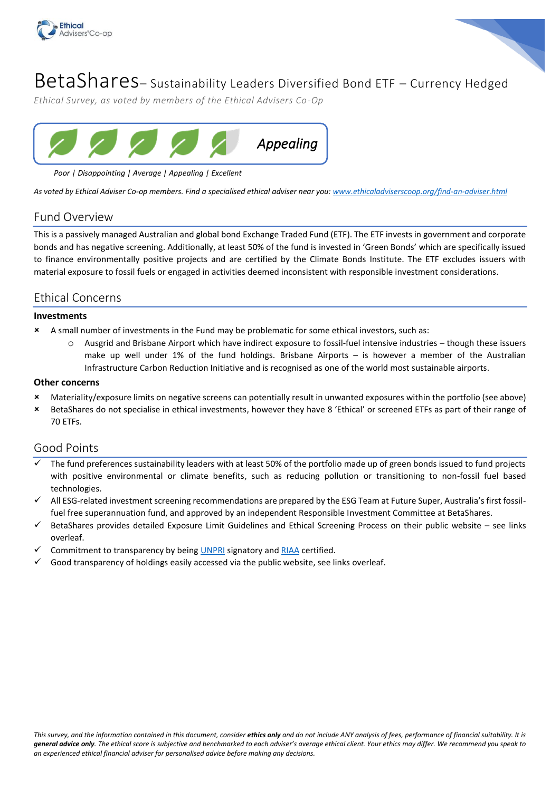



# BetaShares– Sustainability Leaders Diversified Bond ETF – Currency Hedged

*Ethical Survey, as voted by members of the Ethical Advisers Co-Op*



*Poor | Disappointing | Average | Appealing | Excellent*

*As voted by Ethical Adviser Co-op members. Find a specialised ethical adviser near you: www.ethicaladviserscoop.org/find-an-adviser.html*

## Fund Overview

This is a passively managed Australian and global bond Exchange Traded Fund (ETF). The ETF invests in government and corporate bonds and has negative screening. Additionally, at least 50% of the fund is invested in 'Green Bonds' which are specifically issued to finance environmentally positive projects and are certified by the Climate Bonds Institute. The ETF excludes issuers with material exposure to fossil fuels or engaged in activities deemed inconsistent with responsible investment considerations.

## Ethical Concerns

### **Investments**

- A small number of investments in the Fund may be problematic for some ethical investors, such as:
	- o Ausgrid and Brisbane Airport which have indirect exposure to fossil-fuel intensive industries though these issuers make up well under 1% of the fund holdings. Brisbane Airports – is however a member of the Australian Infrastructure Carbon Reduction Initiative and is recognised as one of the world most sustainable airports.

### **Other concerns**

- Materiality/exposure limits on negative screens can potentially result in unwanted exposures within the portfolio (see above)
- BetaShares do not specialise in ethical investments, however they have 8 'Ethical' or screened ETFs as part of their range of 70 ETFs.

## Good Points

- The fund preferences sustainability leaders with at least 50% of the portfolio made up of green bonds issued to fund projects with positive environmental or climate benefits, such as reducing pollution or transitioning to non-fossil fuel based technologies.
- All ESG-related investment screening recommendations are prepared by the ESG Team at Future Super, Australia's first fossilfuel free superannuation fund, and approved by an independent Responsible Investment Committee at BetaShares.
- BetaShares provides detailed Exposure Limit Guidelines and Ethical Screening Process on their public website see links overleaf.
- Commitment to transparency by being UNPRI signatory and RIAA certified.
- Good transparency of holdings easily accessed via the public website, see links overleaf.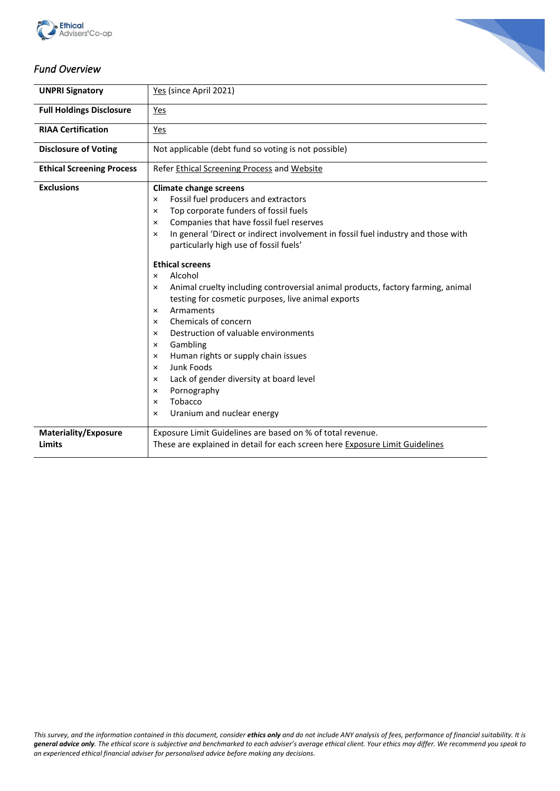



## *Fund Overview*

| <b>UNPRI Signatory</b>                       | Yes (since April 2021)                                                                                                                                                                                                                                                                                                                                                                                                                                                                                                                                                                                                                                                                                                                                                                                                                                                                                            |
|----------------------------------------------|-------------------------------------------------------------------------------------------------------------------------------------------------------------------------------------------------------------------------------------------------------------------------------------------------------------------------------------------------------------------------------------------------------------------------------------------------------------------------------------------------------------------------------------------------------------------------------------------------------------------------------------------------------------------------------------------------------------------------------------------------------------------------------------------------------------------------------------------------------------------------------------------------------------------|
| <b>Full Holdings Disclosure</b>              | Yes                                                                                                                                                                                                                                                                                                                                                                                                                                                                                                                                                                                                                                                                                                                                                                                                                                                                                                               |
| <b>RIAA Certification</b>                    | <u>Yes</u>                                                                                                                                                                                                                                                                                                                                                                                                                                                                                                                                                                                                                                                                                                                                                                                                                                                                                                        |
| <b>Disclosure of Voting</b>                  | Not applicable (debt fund so voting is not possible)                                                                                                                                                                                                                                                                                                                                                                                                                                                                                                                                                                                                                                                                                                                                                                                                                                                              |
| <b>Ethical Screening Process</b>             | Refer Ethical Screening Process and Website                                                                                                                                                                                                                                                                                                                                                                                                                                                                                                                                                                                                                                                                                                                                                                                                                                                                       |
| <b>Exclusions</b>                            | <b>Climate change screens</b><br>Fossil fuel producers and extractors<br>$\times$<br>Top corporate funders of fossil fuels<br>$\times$<br>Companies that have fossil fuel reserves<br>$\times$<br>In general 'Direct or indirect involvement in fossil fuel industry and those with<br>$\times$<br>particularly high use of fossil fuels'<br><b>Ethical screens</b><br>Alcohol<br>$\times$<br>Animal cruelty including controversial animal products, factory farming, animal<br>$\times$<br>testing for cosmetic purposes, live animal exports<br>Armaments<br>$\times$<br>Chemicals of concern<br>$\times$<br>Destruction of valuable environments<br>$\times$<br>Gambling<br>$\times$<br>Human rights or supply chain issues<br>$\times$<br>Junk Foods<br>$\times$<br>Lack of gender diversity at board level<br>$\times$<br>Pornography<br>$\times$<br>Tobacco<br>$\times$<br>Uranium and nuclear energy<br>× |
| <b>Materiality/Exposure</b><br><b>Limits</b> | Exposure Limit Guidelines are based on % of total revenue.<br>These are explained in detail for each screen here Exposure Limit Guidelines                                                                                                                                                                                                                                                                                                                                                                                                                                                                                                                                                                                                                                                                                                                                                                        |